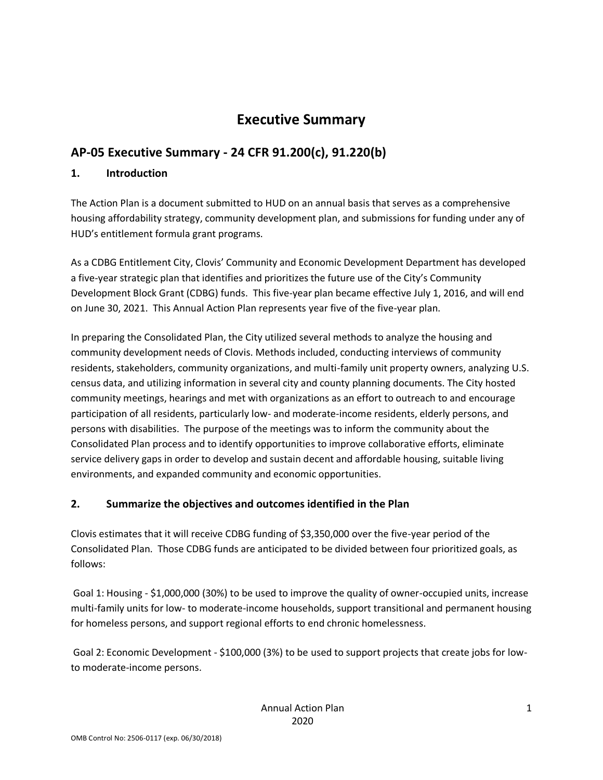# **Executive Summary**

# **AP-05 Executive Summary - 24 CFR 91.200(c), 91.220(b)**

### **1. Introduction**

The Action Plan is a document submitted to HUD on an annual basis that serves as a comprehensive housing affordability strategy, community development plan, and submissions for funding under any of HUD's entitlement formula grant programs.

As a CDBG Entitlement City, Clovis' Community and Economic Development Department has developed a five-year strategic plan that identifies and prioritizes the future use of the City's Community Development Block Grant (CDBG) funds. This five-year plan became effective July 1, 2016, and will end on June 30, 2021. This Annual Action Plan represents year five of the five-year plan.

In preparing the Consolidated Plan, the City utilized several methods to analyze the housing and community development needs of Clovis. Methods included, conducting interviews of community residents, stakeholders, community organizations, and multi-family unit property owners, analyzing U.S. census data, and utilizing information in several city and county planning documents. The City hosted community meetings, hearings and met with organizations as an effort to outreach to and encourage participation of all residents, particularly low- and moderate-income residents, elderly persons, and persons with disabilities. The purpose of the meetings was to inform the community about the Consolidated Plan process and to identify opportunities to improve collaborative efforts, eliminate service delivery gaps in order to develop and sustain decent and affordable housing, suitable living environments, and expanded community and economic opportunities.

### **2. Summarize the objectives and outcomes identified in the Plan**

Clovis estimates that it will receive CDBG funding of \$3,350,000 over the five-year period of the Consolidated Plan. Those CDBG funds are anticipated to be divided between four prioritized goals, as follows:

Goal 1: Housing - \$1,000,000 (30%) to be used to improve the quality of owner-occupied units, increase multi-family units for low- to moderate-income households, support transitional and permanent housing for homeless persons, and support regional efforts to end chronic homelessness.

Goal 2: Economic Development - \$100,000 (3%) to be used to support projects that create jobs for lowto moderate-income persons.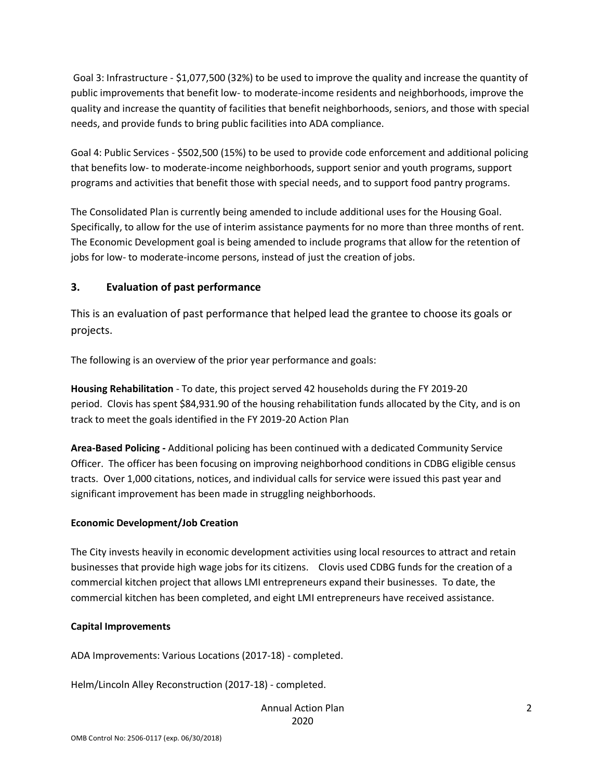Goal 3: Infrastructure - \$1,077,500 (32%) to be used to improve the quality and increase the quantity of public improvements that benefit low- to moderate-income residents and neighborhoods, improve the quality and increase the quantity of facilities that benefit neighborhoods, seniors, and those with special needs, and provide funds to bring public facilities into ADA compliance.

Goal 4: Public Services - \$502,500 (15%) to be used to provide code enforcement and additional policing that benefits low- to moderate-income neighborhoods, support senior and youth programs, support programs and activities that benefit those with special needs, and to support food pantry programs.

The Consolidated Plan is currently being amended to include additional uses for the Housing Goal. Specifically, to allow for the use of interim assistance payments for no more than three months of rent. The Economic Development goal is being amended to include programs that allow for the retention of jobs for low- to moderate-income persons, instead of just the creation of jobs.

#### **3. Evaluation of past performance**

This is an evaluation of past performance that helped lead the grantee to choose its goals or projects.

The following is an overview of the prior year performance and goals:

**Housing Rehabilitation** - To date, this project served 42 households during the FY 2019-20 period. Clovis has spent \$84,931.90 of the housing rehabilitation funds allocated by the City, and is on track to meet the goals identified in the FY 2019-20 Action Plan

**Area-Based Policing -** Additional policing has been continued with a dedicated Community Service Officer. The officer has been focusing on improving neighborhood conditions in CDBG eligible census tracts. Over 1,000 citations, notices, and individual calls for service were issued this past year and significant improvement has been made in struggling neighborhoods.

#### **Economic Development/Job Creation**

The City invests heavily in economic development activities using local resources to attract and retain businesses that provide high wage jobs for its citizens. Clovis used CDBG funds for the creation of a commercial kitchen project that allows LMI entrepreneurs expand their businesses. To date, the commercial kitchen has been completed, and eight LMI entrepreneurs have received assistance.

#### **Capital Improvements**

ADA Improvements: Various Locations (2017-18) - completed.

Helm/Lincoln Alley Reconstruction (2017-18) - completed.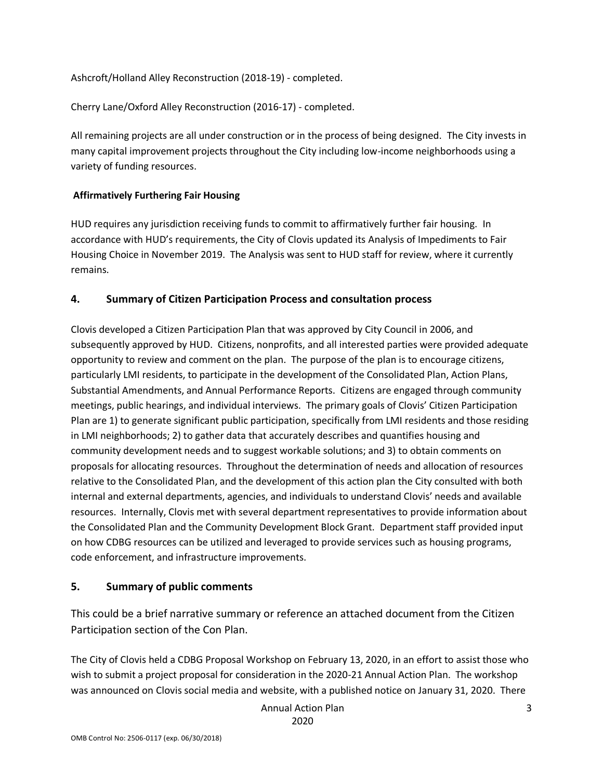Ashcroft/Holland Alley Reconstruction (2018-19) - completed.

Cherry Lane/Oxford Alley Reconstruction (2016-17) - completed.

All remaining projects are all under construction or in the process of being designed. The City invests in many capital improvement projects throughout the City including low-income neighborhoods using a variety of funding resources.

### **Affirmatively Furthering Fair Housing**

HUD requires any jurisdiction receiving funds to commit to affirmatively further fair housing. In accordance with HUD's requirements, the City of Clovis updated its Analysis of Impediments to Fair Housing Choice in November 2019. The Analysis was sent to HUD staff for review, where it currently remains.

### **4. Summary of Citizen Participation Process and consultation process**

Clovis developed a Citizen Participation Plan that was approved by City Council in 2006, and subsequently approved by HUD. Citizens, nonprofits, and all interested parties were provided adequate opportunity to review and comment on the plan. The purpose of the plan is to encourage citizens, particularly LMI residents, to participate in the development of the Consolidated Plan, Action Plans, Substantial Amendments, and Annual Performance Reports. Citizens are engaged through community meetings, public hearings, and individual interviews. The primary goals of Clovis' Citizen Participation Plan are 1) to generate significant public participation, specifically from LMI residents and those residing in LMI neighborhoods; 2) to gather data that accurately describes and quantifies housing and community development needs and to suggest workable solutions; and 3) to obtain comments on proposals for allocating resources. Throughout the determination of needs and allocation of resources relative to the Consolidated Plan, and the development of this action plan the City consulted with both internal and external departments, agencies, and individuals to understand Clovis' needs and available resources. Internally, Clovis met with several department representatives to provide information about the Consolidated Plan and the Community Development Block Grant. Department staff provided input on how CDBG resources can be utilized and leveraged to provide services such as housing programs, code enforcement, and infrastructure improvements.

### **5. Summary of public comments**

This could be a brief narrative summary or reference an attached document from the Citizen Participation section of the Con Plan.

The City of Clovis held a CDBG Proposal Workshop on February 13, 2020, in an effort to assist those who wish to submit a project proposal for consideration in the 2020-21 Annual Action Plan. The workshop was announced on Clovis social media and website, with a published notice on January 31, 2020. There

Annual Action Plan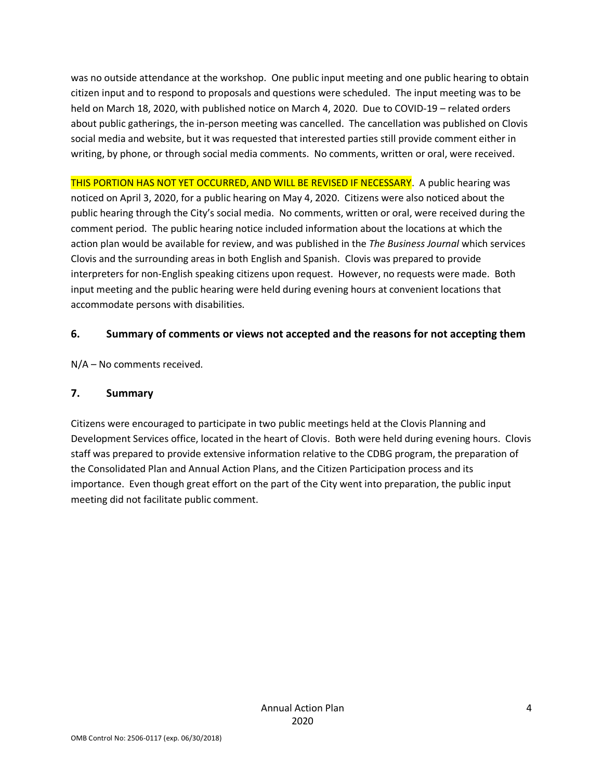was no outside attendance at the workshop. One public input meeting and one public hearing to obtain citizen input and to respond to proposals and questions were scheduled. The input meeting was to be held on March 18, 2020, with published notice on March 4, 2020. Due to COVID-19 – related orders about public gatherings, the in-person meeting was cancelled. The cancellation was published on Clovis social media and website, but it was requested that interested parties still provide comment either in writing, by phone, or through social media comments. No comments, written or oral, were received.

THIS PORTION HAS NOT YET OCCURRED, AND WILL BE REVISED IF NECESSARY. A public hearing was noticed on April 3, 2020, for a public hearing on May 4, 2020. Citizens were also noticed about the public hearing through the City's social media. No comments, written or oral, were received during the comment period. The public hearing notice included information about the locations at which the action plan would be available for review, and was published in the *The Business Journal* which services Clovis and the surrounding areas in both English and Spanish. Clovis was prepared to provide interpreters for non-English speaking citizens upon request. However, no requests were made. Both input meeting and the public hearing were held during evening hours at convenient locations that accommodate persons with disabilities.

### **6. Summary of comments or views not accepted and the reasons for not accepting them**

N/A – No comments received.

### **7. Summary**

Citizens were encouraged to participate in two public meetings held at the Clovis Planning and Development Services office, located in the heart of Clovis. Both were held during evening hours. Clovis staff was prepared to provide extensive information relative to the CDBG program, the preparation of the Consolidated Plan and Annual Action Plans, and the Citizen Participation process and its importance. Even though great effort on the part of the City went into preparation, the public input meeting did not facilitate public comment.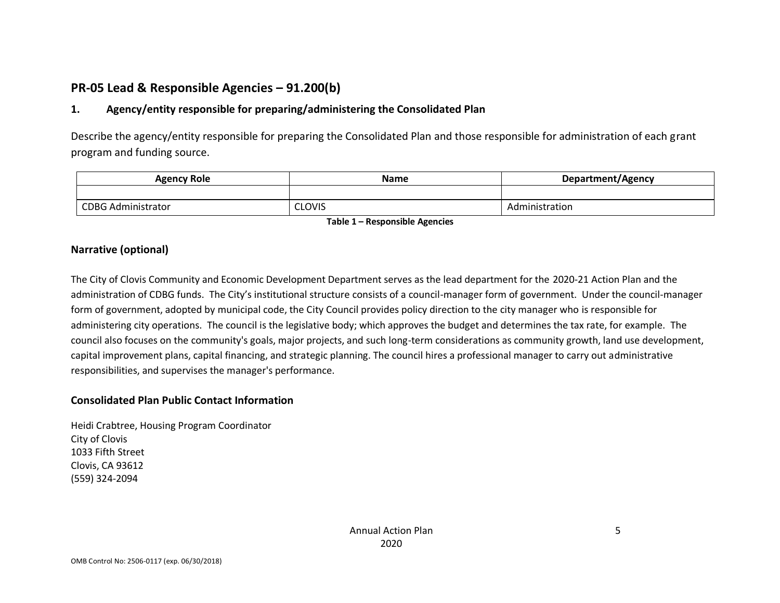# **PR-05 Lead & Responsible Agencies – 91.200(b)**

### **1. Agency/entity responsible for preparing/administering the Consolidated Plan**

Describe the agency/entity responsible for preparing the Consolidated Plan and those responsible for administration of each grant program and funding source.

| <b>Agency Role</b>        | <b>Name</b>   | Department/Agency |  |
|---------------------------|---------------|-------------------|--|
|                           |               |                   |  |
| <b>CDBG Administrator</b> | <b>CLOVIS</b> | Administration    |  |

**Table 1 – Responsible Agencies**

### **Narrative (optional)**

The City of Clovis Community and Economic Development Department serves as the lead department for the 2020-21 Action Plan and the administration of CDBG funds. The City's institutional structure consists of a council-manager form of government. Under the council-manager form of government, adopted by municipal code, the City Council provides policy direction to the city manager who is responsible for administering city operations. The council is the legislative body; which approves the budget and determines the tax rate, for example. The council also focuses on the community's goals, major projects, and such long-term considerations as community growth, land use development, capital improvement plans, capital financing, and strategic planning. The council hires a professional manager to carry out administrative responsibilities, and supervises the manager's performance.

### **Consolidated Plan Public Contact Information**

Heidi Crabtree, Housing Program Coordinator City of Clovis 1033 Fifth Street Clovis, CA 93612 (559) 324-2094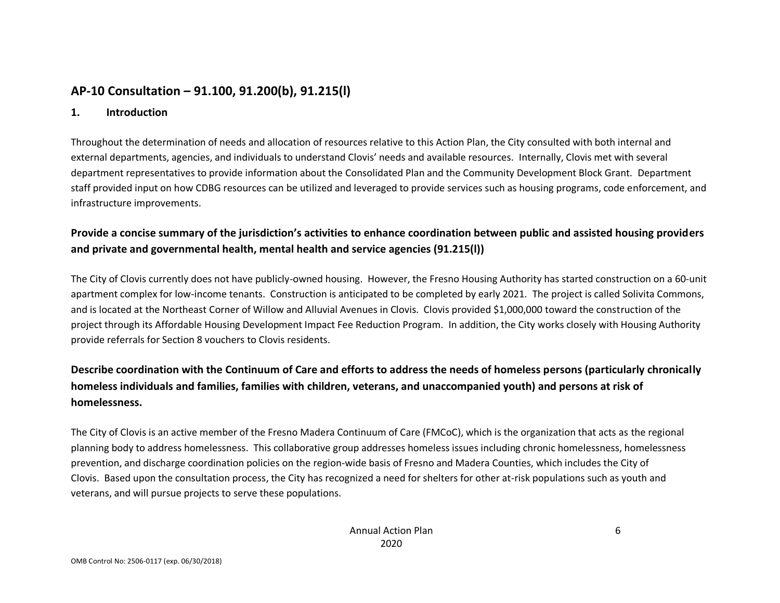# **AP-10 Consultation – 91.100, 91.200(b), 91.215(l)**

#### **1. Introduction**

Throughout the determination of needs and allocation of resources relative to this Action Plan, the City consulted with both internal and external departments, agencies, and individuals to understand Clovis' needs and available resources. Internally, Clovis met with several department representatives to provide information about the Consolidated Plan and the Community Development Block Grant. Department staff provided input on how CDBG resources can be utilized and leveraged to provide services such as housing programs, code enforcement, and infrastructure improvements.

## **Provide a concise summary of the jurisdiction's activities to enhance coordination between public and assisted housing providers and private and governmental health, mental health and service agencies (91.215(l))**

The City of Clovis currently does not have publicly-owned housing. However, the Fresno Housing Authority has started construction on a 60-unit apartment complex for low-income tenants. Construction is anticipated to be completed by early 2021. The project is called Solivita Commons, and is located at the Northeast Corner of Willow and Alluvial Avenues in Clovis. Clovis provided \$1,000,000 toward the construction of the project through its Affordable Housing Development Impact Fee Reduction Program. In addition, the City works closely with Housing Authority provide referrals for Section 8 vouchers to Clovis residents.

## **Describe coordination with the Continuum of Care and efforts to address the needs of homeless persons (particularly chronically homeless individuals and families, families with children, veterans, and unaccompanied youth) and persons at risk of homelessness.**

The City of Clovis is an active member of the Fresno Madera Continuum of Care (FMCoC), which is the organization that acts as the regional planning body to address homelessness. This collaborative group addresses homeless issues including chronic homelessness, homelessness prevention, and discharge coordination policies on the region-wide basis of Fresno and Madera Counties, which includes the City of Clovis. Based upon the consultation process, the City has recognized a need for shelters for other at-risk populations such as youth and veterans, and will pursue projects to serve these populations.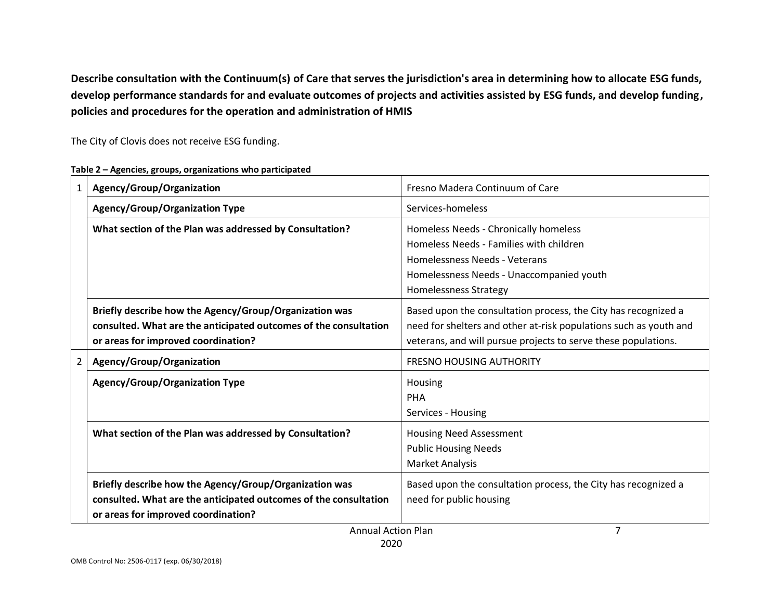**Describe consultation with the Continuum(s) of Care that serves the jurisdiction's area in determining how to allocate ESG funds, develop performance standards for and evaluate outcomes of projects and activities assisted by ESG funds, and develop funding, policies and procedures for the operation and administration of HMIS**

The City of Clovis does not receive ESG funding.

|             | Agency/Group/Organization                                                                                                                                         | Fresno Madera Continuum of Care                                                                                                                                                                       |
|-------------|-------------------------------------------------------------------------------------------------------------------------------------------------------------------|-------------------------------------------------------------------------------------------------------------------------------------------------------------------------------------------------------|
|             | <b>Agency/Group/Organization Type</b>                                                                                                                             | Services-homeless                                                                                                                                                                                     |
|             | What section of the Plan was addressed by Consultation?                                                                                                           | Homeless Needs - Chronically homeless<br>Homeless Needs - Families with children<br>Homelessness Needs - Veterans<br>Homelessness Needs - Unaccompanied youth<br><b>Homelessness Strategy</b>         |
|             | Briefly describe how the Agency/Group/Organization was<br>consulted. What are the anticipated outcomes of the consultation<br>or areas for improved coordination? | Based upon the consultation process, the City has recognized a<br>need for shelters and other at-risk populations such as youth and<br>veterans, and will pursue projects to serve these populations. |
| $2^{\circ}$ | Agency/Group/Organization                                                                                                                                         | <b>FRESNO HOUSING AUTHORITY</b>                                                                                                                                                                       |
|             | <b>Agency/Group/Organization Type</b>                                                                                                                             | Housing<br><b>PHA</b><br>Services - Housing                                                                                                                                                           |
|             | What section of the Plan was addressed by Consultation?                                                                                                           | Housing Need Assessment<br><b>Public Housing Needs</b><br><b>Market Analysis</b>                                                                                                                      |
|             | Briefly describe how the Agency/Group/Organization was<br>consulted. What are the anticipated outcomes of the consultation<br>or areas for improved coordination? | Based upon the consultation process, the City has recognized a<br>need for public housing                                                                                                             |
|             | <b>Annual Action Plan</b>                                                                                                                                         |                                                                                                                                                                                                       |

**Table 2 – Agencies, groups, organizations who participated**

Annual Action Plan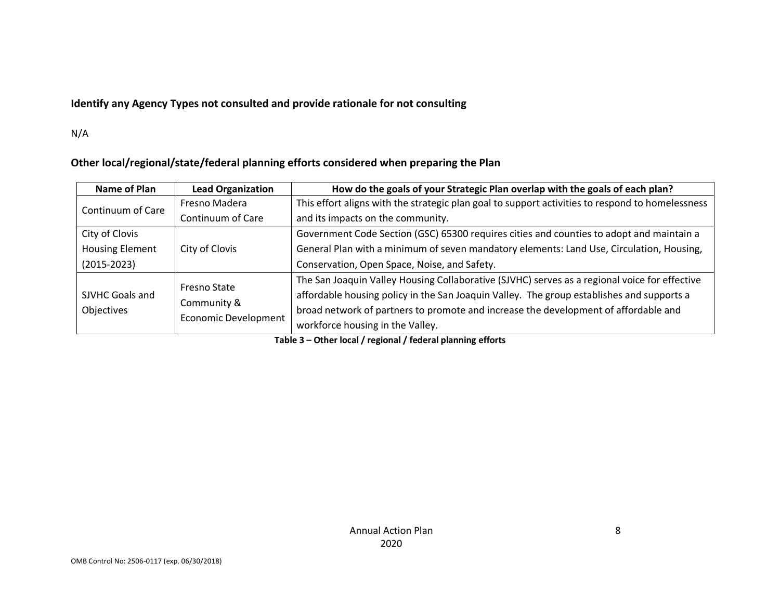### **Identify any Agency Types not consulted and provide rationale for not consulting**

N/A

### **Other local/regional/state/federal planning efforts considered when preparing the Plan**

| Name of Plan                  | <b>Lead Organization</b>                   | How do the goals of your Strategic Plan overlap with the goals of each plan?                     |
|-------------------------------|--------------------------------------------|--------------------------------------------------------------------------------------------------|
| Continuum of Care             | Fresno Madera                              | This effort aligns with the strategic plan goal to support activities to respond to homelessness |
|                               | Continuum of Care                          | and its impacts on the community.                                                                |
| City of Clovis                |                                            | Government Code Section (GSC) 65300 requires cities and counties to adopt and maintain a         |
| <b>Housing Element</b>        | City of Clovis                             | General Plan with a minimum of seven mandatory elements: Land Use, Circulation, Housing,         |
| $(2015 - 2023)$               |                                            | Conservation, Open Space, Noise, and Safety.                                                     |
|                               | <b>Fresno State</b>                        | The San Joaquin Valley Housing Collaborative (SJVHC) serves as a regional voice for effective    |
| SJVHC Goals and<br>Objectives | Community &<br><b>Economic Development</b> | affordable housing policy in the San Joaquin Valley. The group establishes and supports a        |
|                               |                                            | broad network of partners to promote and increase the development of affordable and              |
|                               |                                            | workforce housing in the Valley.                                                                 |

**Table 3 – Other local / regional / federal planning efforts**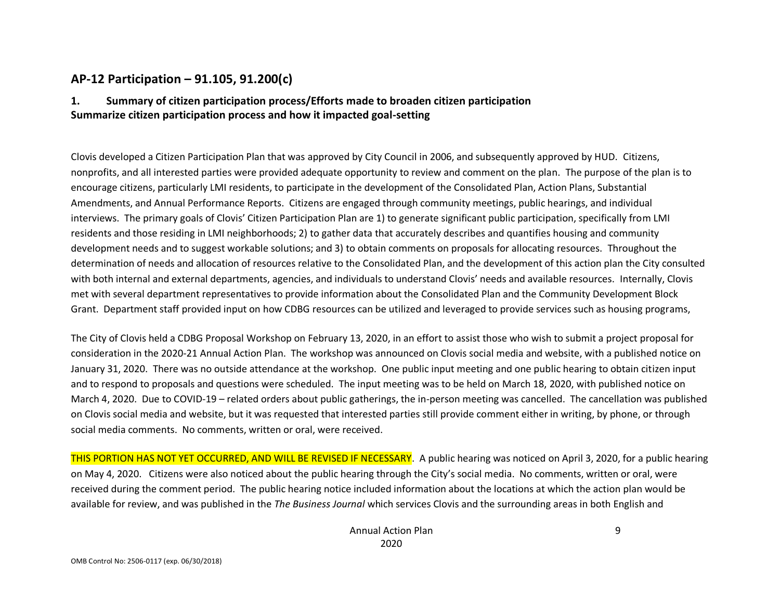## **AP-12 Participation – 91.105, 91.200(c)**

### **1. Summary of citizen participation process/Efforts made to broaden citizen participation Summarize citizen participation process and how it impacted goal-setting**

Clovis developed a Citizen Participation Plan that was approved by City Council in 2006, and subsequently approved by HUD. Citizens, nonprofits, and all interested parties were provided adequate opportunity to review and comment on the plan. The purpose of the plan is to encourage citizens, particularly LMI residents, to participate in the development of the Consolidated Plan, Action Plans, Substantial Amendments, and Annual Performance Reports. Citizens are engaged through community meetings, public hearings, and individual interviews. The primary goals of Clovis' Citizen Participation Plan are 1) to generate significant public participation, specifically from LMI residents and those residing in LMI neighborhoods; 2) to gather data that accurately describes and quantifies housing and community development needs and to suggest workable solutions; and 3) to obtain comments on proposals for allocating resources. Throughout the determination of needs and allocation of resources relative to the Consolidated Plan, and the development of this action plan the City consulted with both internal and external departments, agencies, and individuals to understand Clovis' needs and available resources. Internally, Clovis met with several department representatives to provide information about the Consolidated Plan and the Community Development Block Grant. Department staff provided input on how CDBG resources can be utilized and leveraged to provide services such as housing programs,

The City of Clovis held a CDBG Proposal Workshop on February 13, 2020, in an effort to assist those who wish to submit a project proposal for consideration in the 2020-21 Annual Action Plan. The workshop was announced on Clovis social media and website, with a published notice on January 31, 2020. There was no outside attendance at the workshop. One public input meeting and one public hearing to obtain citizen input and to respond to proposals and questions were scheduled. The input meeting was to be held on March 18, 2020, with published notice on March 4, 2020. Due to COVID-19 – related orders about public gatherings, the in-person meeting was cancelled. The cancellation was published on Clovis social media and website, but it was requested that interested parties still provide comment either in writing, by phone, or through social media comments. No comments, written or oral, were received.

THIS PORTION HAS NOT YET OCCURRED, AND WILL BE REVISED IF NECESSARY. A public hearing was noticed on April 3, 2020, for a public hearing on May 4, 2020. Citizens were also noticed about the public hearing through the City's social media. No comments, written or oral, were received during the comment period. The public hearing notice included information about the locations at which the action plan would be available for review, and was published in the *The Business Journal* which services Clovis and the surrounding areas in both English and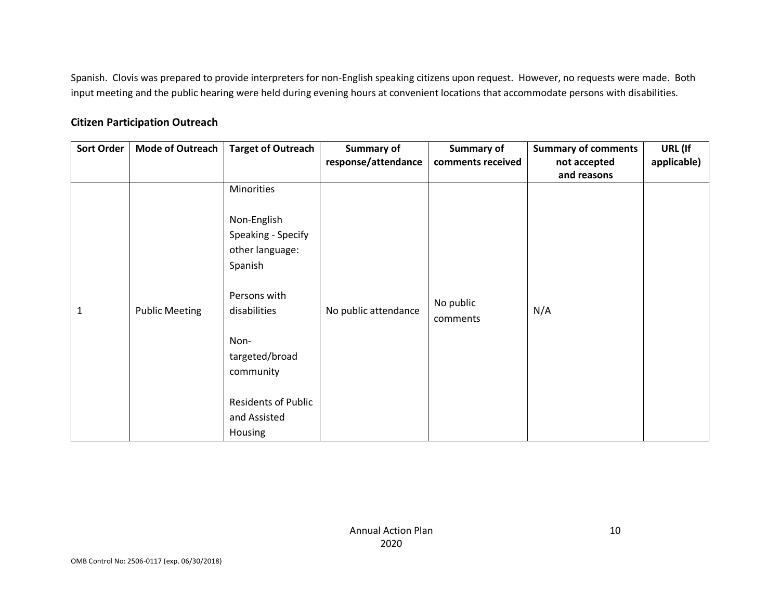Spanish. Clovis was prepared to provide interpreters for non-English speaking citizens upon request. However, no requests were made. Both input meeting and the public hearing were held during evening hours at convenient locations that accommodate persons with disabilities.

### **Citizen Participation Outreach**

| <b>Sort Order</b> | <b>Mode of Outreach</b> | <b>Target of Outreach</b>                                       | <b>Summary of</b>    | Summary of        | <b>Summary of comments</b> | URL (If     |
|-------------------|-------------------------|-----------------------------------------------------------------|----------------------|-------------------|----------------------------|-------------|
|                   |                         |                                                                 | response/attendance  | comments received | not accepted               | applicable) |
|                   |                         |                                                                 |                      |                   | and reasons                |             |
|                   |                         | Minorities                                                      |                      |                   |                            |             |
|                   |                         | Non-English<br>Speaking - Specify<br>other language:<br>Spanish |                      |                   |                            |             |
|                   |                         | Persons with                                                    |                      | No public         |                            |             |
| 1                 | <b>Public Meeting</b>   | disabilities                                                    | No public attendance | comments          | N/A                        |             |
|                   |                         | Non-                                                            |                      |                   |                            |             |
|                   |                         | targeted/broad                                                  |                      |                   |                            |             |
|                   |                         | community                                                       |                      |                   |                            |             |
|                   |                         |                                                                 |                      |                   |                            |             |
|                   |                         | <b>Residents of Public</b>                                      |                      |                   |                            |             |
|                   |                         | and Assisted                                                    |                      |                   |                            |             |
|                   |                         | Housing                                                         |                      |                   |                            |             |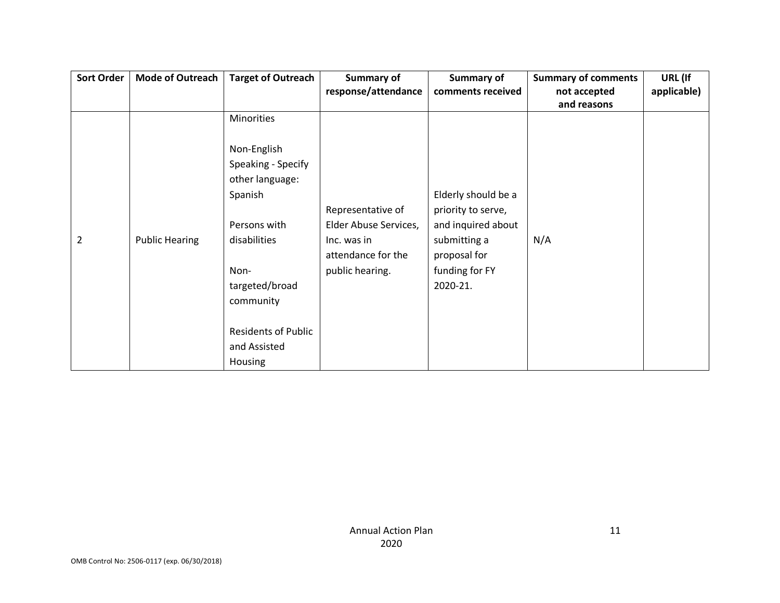| <b>Sort Order</b> | <b>Mode of Outreach</b> | <b>Target of Outreach</b>  | Summary of            | <b>Summary of</b>   | <b>Summary of comments</b> | URL (If     |
|-------------------|-------------------------|----------------------------|-----------------------|---------------------|----------------------------|-------------|
|                   |                         |                            | response/attendance   | comments received   | not accepted               | applicable) |
|                   |                         |                            |                       |                     | and reasons                |             |
|                   |                         | <b>Minorities</b>          |                       |                     |                            |             |
|                   |                         |                            |                       |                     |                            |             |
|                   |                         | Non-English                |                       |                     |                            |             |
|                   |                         | Speaking - Specify         |                       |                     |                            |             |
|                   |                         | other language:            |                       |                     |                            |             |
|                   |                         | Spanish                    |                       | Elderly should be a |                            |             |
|                   |                         |                            | Representative of     | priority to serve,  |                            |             |
|                   |                         | Persons with               | Elder Abuse Services, | and inquired about  |                            |             |
| $\overline{2}$    | <b>Public Hearing</b>   | disabilities               | Inc. was in           | submitting a        | N/A                        |             |
|                   |                         |                            | attendance for the    | proposal for        |                            |             |
|                   |                         | Non-                       | public hearing.       | funding for FY      |                            |             |
|                   |                         | targeted/broad             |                       | 2020-21.            |                            |             |
|                   |                         | community                  |                       |                     |                            |             |
|                   |                         |                            |                       |                     |                            |             |
|                   |                         | <b>Residents of Public</b> |                       |                     |                            |             |
|                   |                         | and Assisted               |                       |                     |                            |             |
|                   |                         | Housing                    |                       |                     |                            |             |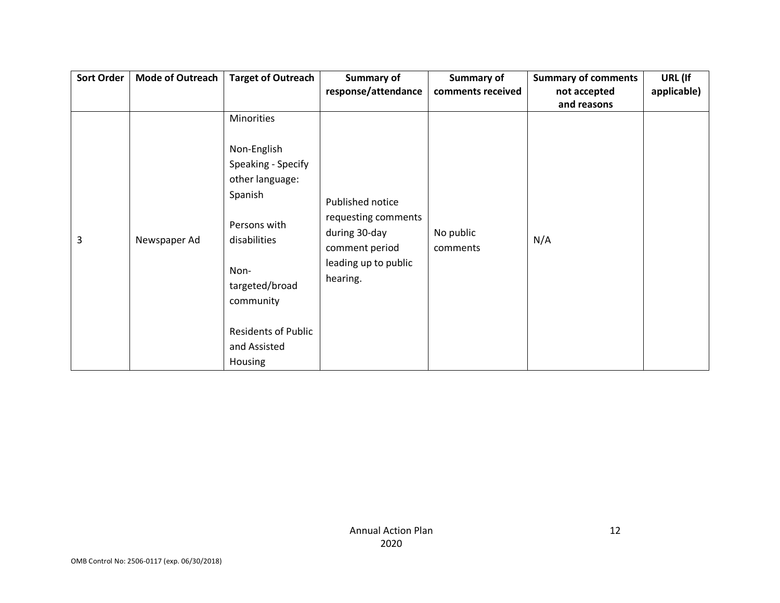| Sort Order | <b>Mode of Outreach</b> | <b>Target of Outreach</b>                                                                                                                                                                       | Summary of                                                                                                     | <b>Summary of</b>     | <b>Summary of comments</b> | URL (If     |
|------------|-------------------------|-------------------------------------------------------------------------------------------------------------------------------------------------------------------------------------------------|----------------------------------------------------------------------------------------------------------------|-----------------------|----------------------------|-------------|
|            |                         |                                                                                                                                                                                                 | response/attendance                                                                                            | comments received     | not accepted               | applicable) |
|            |                         |                                                                                                                                                                                                 |                                                                                                                |                       | and reasons                |             |
|            |                         | Minorities                                                                                                                                                                                      |                                                                                                                |                       |                            |             |
| 3          | Newspaper Ad            | Non-English<br>Speaking - Specify<br>other language:<br>Spanish<br>Persons with<br>disabilities<br>Non-<br>targeted/broad<br>community<br><b>Residents of Public</b><br>and Assisted<br>Housing | Published notice<br>requesting comments<br>during 30-day<br>comment period<br>leading up to public<br>hearing. | No public<br>comments | N/A                        |             |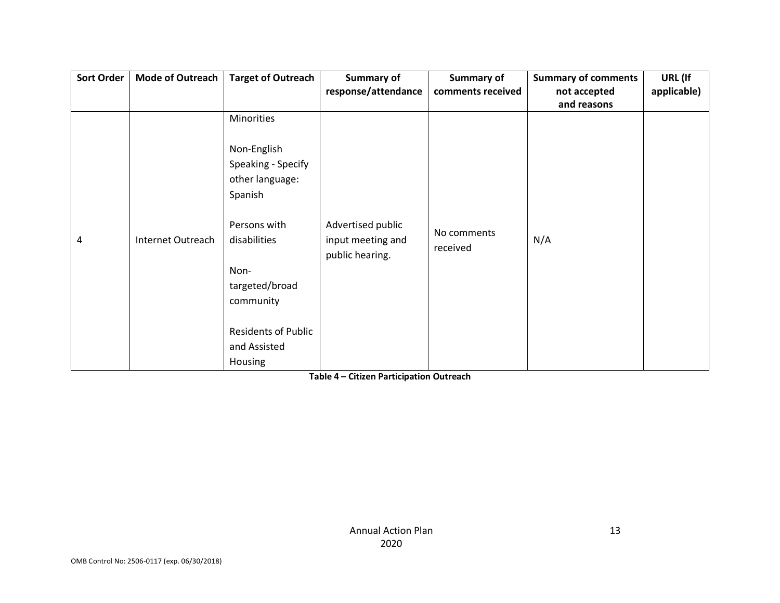| <b>Sort Order</b> | <b>Mode of Outreach</b> | <b>Target of Outreach</b>  | <b>Summary of</b>                    | <b>Summary of</b> | <b>Summary of comments</b> | URL (If     |
|-------------------|-------------------------|----------------------------|--------------------------------------|-------------------|----------------------------|-------------|
|                   |                         |                            | response/attendance                  | comments received | not accepted               | applicable) |
|                   |                         |                            |                                      |                   | and reasons                |             |
|                   |                         | Minorities                 |                                      |                   |                            |             |
|                   |                         | Non-English                |                                      |                   |                            |             |
|                   |                         | Speaking - Specify         |                                      |                   |                            |             |
|                   |                         | other language:            |                                      |                   |                            |             |
|                   |                         | Spanish                    |                                      |                   |                            |             |
|                   |                         | Persons with               | Advertised public                    | No comments       |                            |             |
| 4                 | Internet Outreach       | disabilities               | input meeting and<br>public hearing. | received          | N/A                        |             |
|                   |                         | Non-                       |                                      |                   |                            |             |
|                   |                         | targeted/broad             |                                      |                   |                            |             |
|                   |                         | community                  |                                      |                   |                            |             |
|                   |                         |                            |                                      |                   |                            |             |
|                   |                         | <b>Residents of Public</b> |                                      |                   |                            |             |
|                   |                         | and Assisted               |                                      |                   |                            |             |
|                   |                         | Housing                    |                                      |                   |                            |             |

**Table 4 – Citizen Participation Outreach**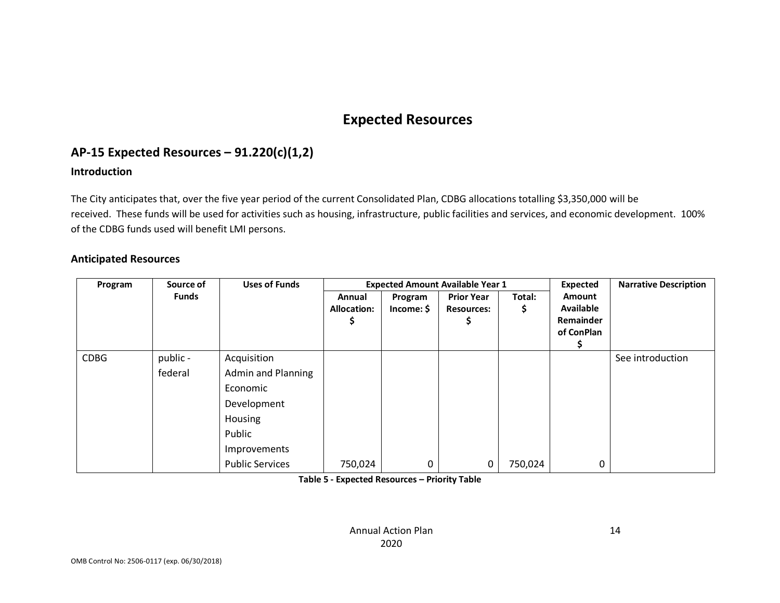# **Expected Resources**

# **AP-15 Expected Resources – 91.220(c)(1,2)**

### **Introduction**

The City anticipates that, over the five year period of the current Consolidated Plan, CDBG allocations totalling \$3,350,000 will be received. These funds will be used for activities such as housing, infrastructure, public facilities and services, and economic development. 100% of the CDBG funds used will benefit LMI persons.

#### **Anticipated Resources**

| Source of<br>Program |                     | <b>Uses of Funds</b>                                                                                     |                              |                       | <b>Expected Amount Available Year 1</b> |              | Expected                                              | <b>Narrative Description</b> |
|----------------------|---------------------|----------------------------------------------------------------------------------------------------------|------------------------------|-----------------------|-----------------------------------------|--------------|-------------------------------------------------------|------------------------------|
|                      | <b>Funds</b>        |                                                                                                          | Annual<br><b>Allocation:</b> | Program<br>Income: \$ | <b>Prior Year</b><br><b>Resources:</b>  | Total:<br>\$ | Amount<br><b>Available</b><br>Remainder<br>of ConPlan |                              |
| <b>CDBG</b>          | public -<br>federal | Acquisition<br><b>Admin and Planning</b><br>Economic<br>Development<br>Housing<br>Public<br>Improvements |                              |                       |                                         |              |                                                       | See introduction             |
|                      |                     | <b>Public Services</b>                                                                                   | 750,024                      | 0                     | 0                                       | 750,024      | 0                                                     |                              |

**Table 5 - Expected Resources – Priority Table**

Annual Action Plan 2020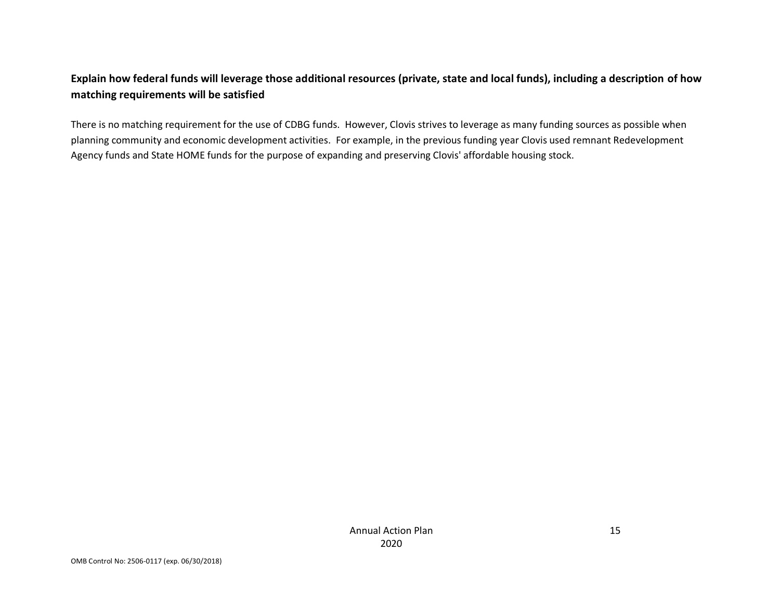## **Explain how federal funds will leverage those additional resources (private, state and local funds), including a description of how matching requirements will be satisfied**

There is no matching requirement for the use of CDBG funds. However, Clovis strives to leverage as many funding sources as possible when planning community and economic development activities. For example, in the previous funding year Clovis used remnant Redevelopment Agency funds and State HOME funds for the purpose of expanding and preserving Clovis' affordable housing stock.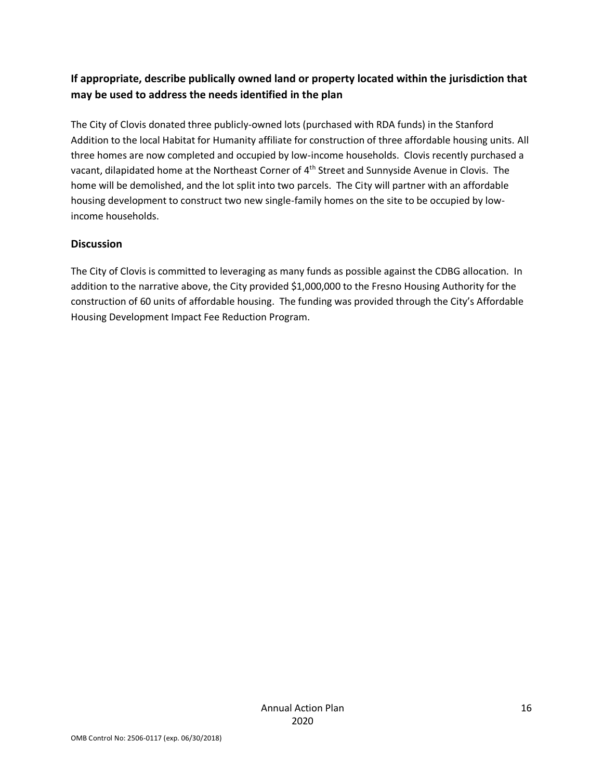## **If appropriate, describe publically owned land or property located within the jurisdiction that may be used to address the needs identified in the plan**

The City of Clovis donated three publicly-owned lots (purchased with RDA funds) in the Stanford Addition to the local Habitat for Humanity affiliate for construction of three affordable housing units. All three homes are now completed and occupied by low-income households. Clovis recently purchased a vacant, dilapidated home at the Northeast Corner of 4<sup>th</sup> Street and Sunnyside Avenue in Clovis. The home will be demolished, and the lot split into two parcels. The City will partner with an affordable housing development to construct two new single-family homes on the site to be occupied by lowincome households.

### **Discussion**

The City of Clovis is committed to leveraging as many funds as possible against the CDBG allocation. In addition to the narrative above, the City provided \$1,000,000 to the Fresno Housing Authority for the construction of 60 units of affordable housing. The funding was provided through the City's Affordable Housing Development Impact Fee Reduction Program.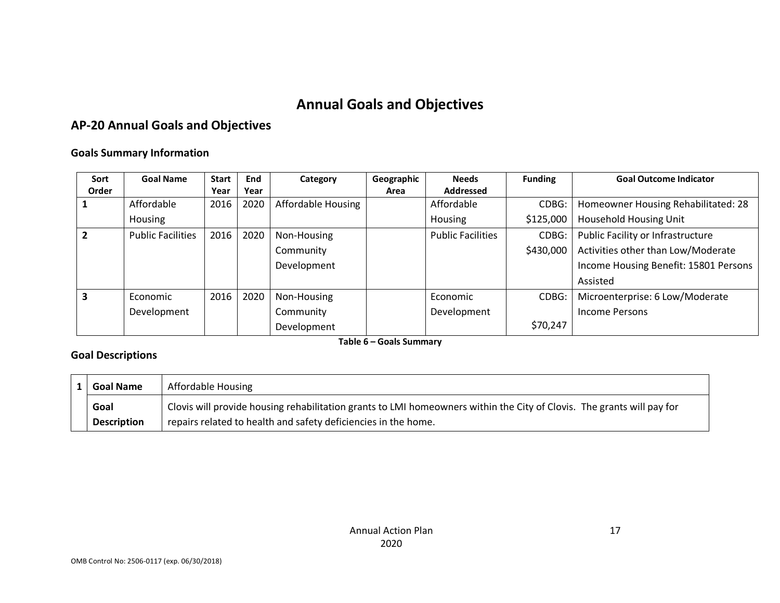# **Annual Goals and Objectives**

# **AP-20 Annual Goals and Objectives**

### **Goals Summary Information**

| Sort  | <b>Goal Name</b>         | <b>Start</b> | End  | Category           | Geographic | <b>Needs</b>             | <b>Funding</b> | <b>Goal Outcome Indicator</b>         |
|-------|--------------------------|--------------|------|--------------------|------------|--------------------------|----------------|---------------------------------------|
| Order |                          | Year         | Year |                    | Area       | <b>Addressed</b>         |                |                                       |
|       | Affordable               | 2016         | 2020 | Affordable Housing |            | Affordable               | CDBG:          | Homeowner Housing Rehabilitated: 28   |
|       | Housing                  |              |      |                    |            | Housing                  | \$125,000      | <b>Household Housing Unit</b>         |
|       | <b>Public Facilities</b> | 2016         | 2020 | Non-Housing        |            | <b>Public Facilities</b> | CDBG:          | Public Facility or Infrastructure     |
|       |                          |              |      | Community          |            |                          | \$430,000      | Activities other than Low/Moderate    |
|       |                          |              |      | Development        |            |                          |                | Income Housing Benefit: 15801 Persons |
|       |                          |              |      |                    |            |                          |                | Assisted                              |
| 3     | Economic                 | 2016         | 2020 | Non-Housing        |            | Economic                 | CDBG:          | Microenterprise: 6 Low/Moderate       |
|       | Development              |              |      | Community          |            | Development              |                | <b>Income Persons</b>                 |
|       |                          |              |      | Development        |            |                          | \$70,247       |                                       |

**Table 6 – Goals Summary**

### **Goal Descriptions**

| <b>Goal Name</b>   | Affordable Housing                                                                                                     |
|--------------------|------------------------------------------------------------------------------------------------------------------------|
| Goal               | Clovis will provide housing rehabilitation grants to LMI homeowners within the City of Clovis. The grants will pay for |
| <b>Description</b> | repairs related to health and safety deficiencies in the home.                                                         |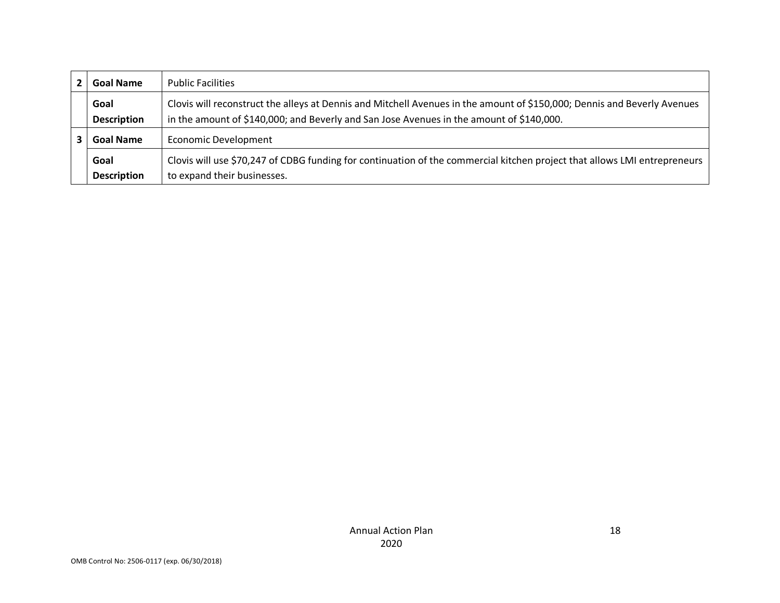|                                                 | <b>Goal Name</b>           | <b>Public Facilities</b>                                                                                                                                                                                             |
|-------------------------------------------------|----------------------------|----------------------------------------------------------------------------------------------------------------------------------------------------------------------------------------------------------------------|
|                                                 | Goal<br><b>Description</b> | Clovis will reconstruct the alleys at Dennis and Mitchell Avenues in the amount of \$150,000; Dennis and Beverly Avenues<br>in the amount of \$140,000; and Beverly and San Jose Avenues in the amount of \$140,000. |
| <b>Economic Development</b><br><b>Goal Name</b> |                            |                                                                                                                                                                                                                      |
|                                                 | Goal<br><b>Description</b> | Clovis will use \$70,247 of CDBG funding for continuation of the commercial kitchen project that allows LMI entrepreneurs<br>to expand their businesses.                                                             |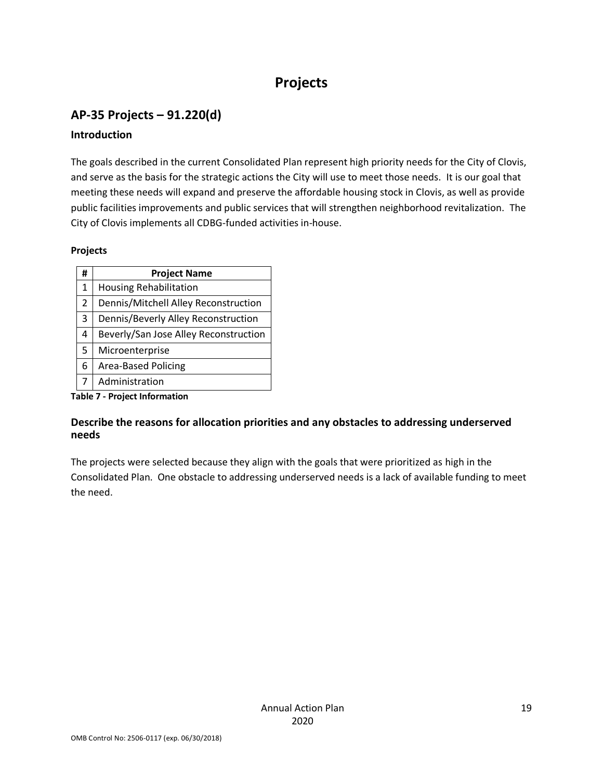# **Projects**

# **AP-35 Projects – 91.220(d)**

### **Introduction**

The goals described in the current Consolidated Plan represent high priority needs for the City of Clovis, and serve as the basis for the strategic actions the City will use to meet those needs. It is our goal that meeting these needs will expand and preserve the affordable housing stock in Clovis, as well as provide public facilities improvements and public services that will strengthen neighborhood revitalization. The City of Clovis implements all CDBG-funded activities in-house.

### **Projects**

| #              | <b>Project Name</b>                   |  |  |  |  |  |  |
|----------------|---------------------------------------|--|--|--|--|--|--|
| 1              | <b>Housing Rehabilitation</b>         |  |  |  |  |  |  |
| $\overline{2}$ | Dennis/Mitchell Alley Reconstruction  |  |  |  |  |  |  |
| 3              | Dennis/Beverly Alley Reconstruction   |  |  |  |  |  |  |
| 4              | Beverly/San Jose Alley Reconstruction |  |  |  |  |  |  |
| 5              | Microenterprise                       |  |  |  |  |  |  |
| 6              | <b>Area-Based Policing</b>            |  |  |  |  |  |  |
| 7              | Administration                        |  |  |  |  |  |  |
|                | <b>Table 7 - Project Information</b>  |  |  |  |  |  |  |

# **Describe the reasons for allocation priorities and any obstacles to addressing underserved needs**

The projects were selected because they align with the goals that were prioritized as high in the Consolidated Plan. One obstacle to addressing underserved needs is a lack of available funding to meet the need.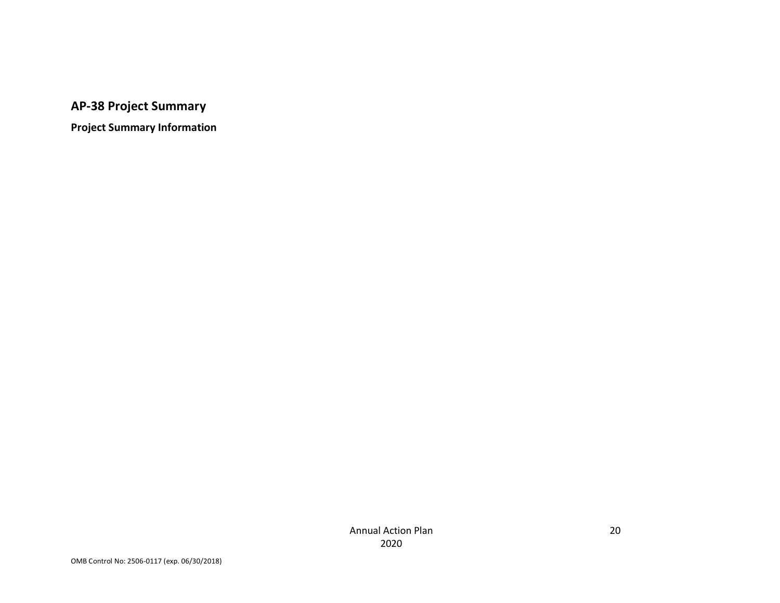# **AP-38 Project Summary**

**Project Summary Information**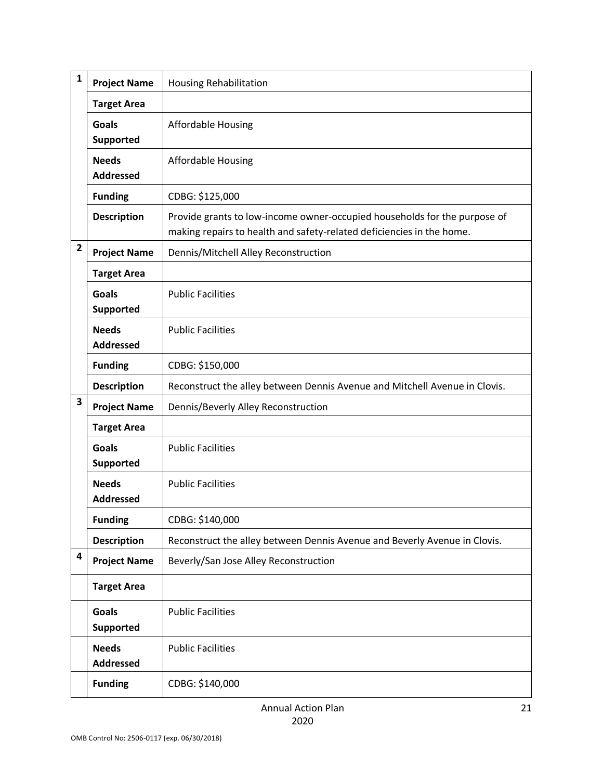| $\mathbf{1}$            | <b>Project Name</b>              | <b>Housing Rehabilitation</b>                                                                                                                      |
|-------------------------|----------------------------------|----------------------------------------------------------------------------------------------------------------------------------------------------|
|                         | <b>Target Area</b>               |                                                                                                                                                    |
|                         | <b>Goals</b><br>Supported        | <b>Affordable Housing</b>                                                                                                                          |
|                         | <b>Needs</b><br><b>Addressed</b> | Affordable Housing                                                                                                                                 |
|                         | <b>Funding</b>                   | CDBG: \$125,000                                                                                                                                    |
|                         | <b>Description</b>               | Provide grants to low-income owner-occupied households for the purpose of<br>making repairs to health and safety-related deficiencies in the home. |
| $\overline{2}$          | <b>Project Name</b>              | Dennis/Mitchell Alley Reconstruction                                                                                                               |
|                         | <b>Target Area</b>               |                                                                                                                                                    |
|                         | <b>Goals</b><br><b>Supported</b> | <b>Public Facilities</b>                                                                                                                           |
|                         | <b>Needs</b><br><b>Addressed</b> | <b>Public Facilities</b>                                                                                                                           |
|                         | <b>Funding</b>                   | CDBG: \$150,000                                                                                                                                    |
|                         | <b>Description</b>               | Reconstruct the alley between Dennis Avenue and Mitchell Avenue in Clovis.                                                                         |
| $\overline{\mathbf{3}}$ | <b>Project Name</b>              | Dennis/Beverly Alley Reconstruction                                                                                                                |
|                         | <b>Target Area</b>               |                                                                                                                                                    |
|                         | <b>Goals</b><br><b>Supported</b> | <b>Public Facilities</b>                                                                                                                           |
|                         | <b>Needs</b><br><b>Addressed</b> | <b>Public Facilities</b>                                                                                                                           |
|                         | <b>Funding</b>                   | CDBG: \$140,000                                                                                                                                    |
|                         | <b>Description</b>               | Reconstruct the alley between Dennis Avenue and Beverly Avenue in Clovis.                                                                          |
| 4                       | <b>Project Name</b>              | Beverly/San Jose Alley Reconstruction                                                                                                              |
|                         | <b>Target Area</b>               |                                                                                                                                                    |
|                         | <b>Goals</b><br><b>Supported</b> | <b>Public Facilities</b>                                                                                                                           |
|                         | <b>Needs</b><br><b>Addressed</b> | <b>Public Facilities</b>                                                                                                                           |
|                         | <b>Funding</b>                   | CDBG: \$140,000                                                                                                                                    |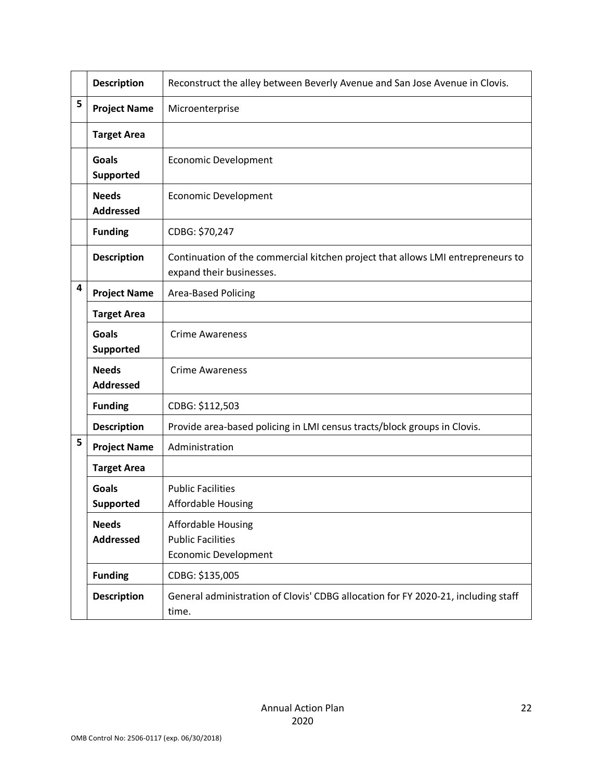|   | <b>Description</b>               | Reconstruct the alley between Beverly Avenue and San Jose Avenue in Clovis.                                 |
|---|----------------------------------|-------------------------------------------------------------------------------------------------------------|
| 5 | <b>Project Name</b>              | Microenterprise                                                                                             |
|   | <b>Target Area</b>               |                                                                                                             |
|   | <b>Goals</b><br>Supported        | <b>Economic Development</b>                                                                                 |
|   | <b>Needs</b><br><b>Addressed</b> | <b>Economic Development</b>                                                                                 |
|   | <b>Funding</b>                   | CDBG: \$70,247                                                                                              |
|   | <b>Description</b>               | Continuation of the commercial kitchen project that allows LMI entrepreneurs to<br>expand their businesses. |
| 4 | <b>Project Name</b>              | Area-Based Policing                                                                                         |
|   | <b>Target Area</b>               |                                                                                                             |
|   | <b>Goals</b><br>Supported        | <b>Crime Awareness</b>                                                                                      |
|   | <b>Needs</b><br><b>Addressed</b> | <b>Crime Awareness</b>                                                                                      |
|   | <b>Funding</b>                   | CDBG: \$112,503                                                                                             |
|   | <b>Description</b>               | Provide area-based policing in LMI census tracts/block groups in Clovis.                                    |
| 5 | <b>Project Name</b>              | Administration                                                                                              |
|   | <b>Target Area</b>               |                                                                                                             |
|   | <b>Goals</b><br><b>Supported</b> | <b>Public Facilities</b><br>Affordable Housing                                                              |
|   | <b>Needs</b><br><b>Addressed</b> | <b>Affordable Housing</b><br><b>Public Facilities</b><br><b>Economic Development</b>                        |
|   | <b>Funding</b>                   | CDBG: \$135,005                                                                                             |
|   | <b>Description</b>               | General administration of Clovis' CDBG allocation for FY 2020-21, including staff<br>time.                  |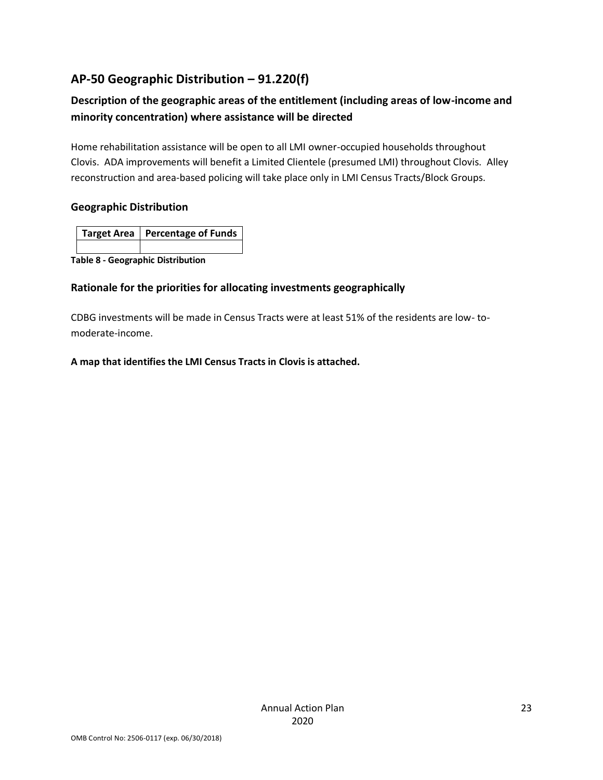# **AP-50 Geographic Distribution – 91.220(f)**

# **Description of the geographic areas of the entitlement (including areas of low-income and minority concentration) where assistance will be directed**

Home rehabilitation assistance will be open to all LMI owner-occupied households throughout Clovis. ADA improvements will benefit a Limited Clientele (presumed LMI) throughout Clovis. Alley reconstruction and area-based policing will take place only in LMI Census Tracts/Block Groups.

### **Geographic Distribution**

| Target Area   Percentage of Funds |
|-----------------------------------|
|                                   |

**Table 8 - Geographic Distribution** 

### **Rationale for the priorities for allocating investments geographically**

CDBG investments will be made in Census Tracts were at least 51% of the residents are low- tomoderate-income.

### **A map that identifies the LMI Census Tracts in Clovis is attached.**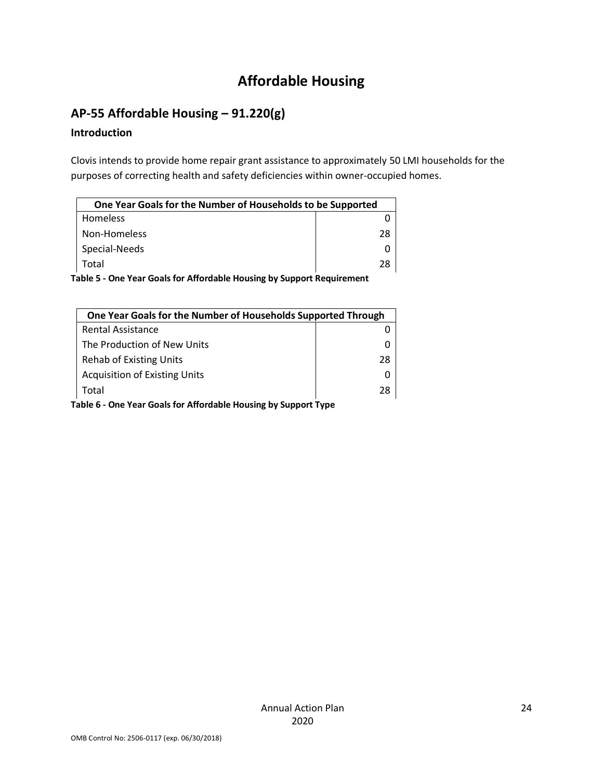# **Affordable Housing**

# **AP-55 Affordable Housing – 91.220(g)**

### **Introduction**

Clovis intends to provide home repair grant assistance to approximately 50 LMI households for the purposes of correcting health and safety deficiencies within owner-occupied homes.

| One Year Goals for the Number of Households to be Supported |    |
|-------------------------------------------------------------|----|
| Homeless                                                    |    |
| Non-Homeless                                                | 28 |
| Special-Needs                                               |    |
| Total                                                       | 28 |

**Table 5 - One Year Goals for Affordable Housing by Support Requirement**

| One Year Goals for the Number of Households Supported Through   |    |  |
|-----------------------------------------------------------------|----|--|
| Rental Assistance                                               |    |  |
| The Production of New Units                                     |    |  |
| <b>Rehab of Existing Units</b>                                  | 28 |  |
| <b>Acquisition of Existing Units</b>                            |    |  |
| Total                                                           | 28 |  |
| Table 6 - One Year Goals for Affordable Housing by Support Type |    |  |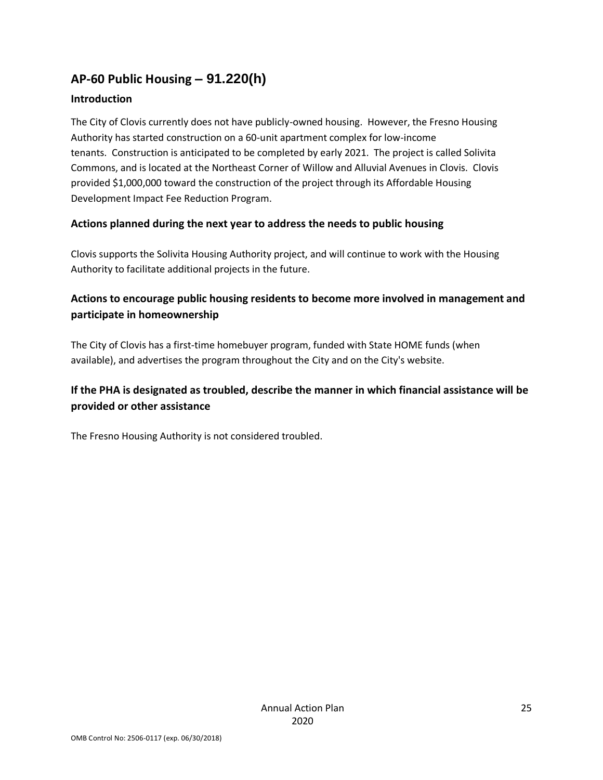# **AP-60 Public Housing** *–* **91.220(h)**

### **Introduction**

The City of Clovis currently does not have publicly-owned housing. However, the Fresno Housing Authority has started construction on a 60-unit apartment complex for low-income tenants. Construction is anticipated to be completed by early 2021. The project is called Solivita Commons, and is located at the Northeast Corner of Willow and Alluvial Avenues in Clovis. Clovis provided \$1,000,000 toward the construction of the project through its Affordable Housing Development Impact Fee Reduction Program.

### **Actions planned during the next year to address the needs to public housing**

Clovis supports the Solivita Housing Authority project, and will continue to work with the Housing Authority to facilitate additional projects in the future.

## **Actions to encourage public housing residents to become more involved in management and participate in homeownership**

The City of Clovis has a first-time homebuyer program, funded with State HOME funds (when available), and advertises the program throughout the City and on the City's website.

## **If the PHA is designated as troubled, describe the manner in which financial assistance will be provided or other assistance**

The Fresno Housing Authority is not considered troubled.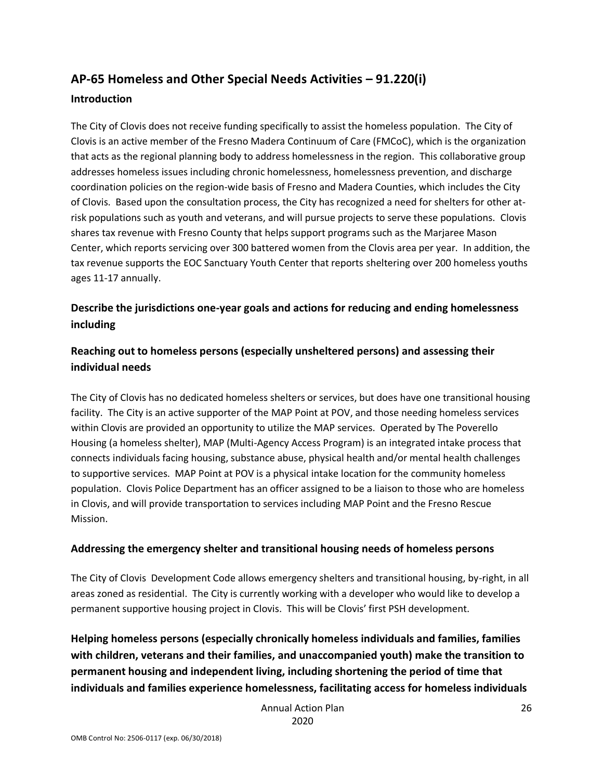# **AP-65 Homeless and Other Special Needs Activities – 91.220(i)**

### **Introduction**

The City of Clovis does not receive funding specifically to assist the homeless population. The City of Clovis is an active member of the Fresno Madera Continuum of Care (FMCoC), which is the organization that acts as the regional planning body to address homelessness in the region. This collaborative group addresses homeless issues including chronic homelessness, homelessness prevention, and discharge coordination policies on the region-wide basis of Fresno and Madera Counties, which includes the City of Clovis. Based upon the consultation process, the City has recognized a need for shelters for other atrisk populations such as youth and veterans, and will pursue projects to serve these populations. Clovis shares tax revenue with Fresno County that helps support programs such as the Marjaree Mason Center, which reports servicing over 300 battered women from the Clovis area per year. In addition, the tax revenue supports the EOC Sanctuary Youth Center that reports sheltering over 200 homeless youths ages 11-17 annually.

## **Describe the jurisdictions one-year goals and actions for reducing and ending homelessness including**

## **Reaching out to homeless persons (especially unsheltered persons) and assessing their individual needs**

The City of Clovis has no dedicated homeless shelters or services, but does have one transitional housing facility. The City is an active supporter of the MAP Point at POV, and those needing homeless services within Clovis are provided an opportunity to utilize the MAP services. Operated by The Poverello Housing (a homeless shelter), MAP (Multi-Agency Access Program) is an integrated intake process that connects individuals facing housing, substance abuse, physical health and/or mental health challenges to supportive services. MAP Point at POV is a physical intake location for the community homeless population. Clovis Police Department has an officer assigned to be a liaison to those who are homeless in Clovis, and will provide transportation to services including MAP Point and the Fresno Rescue Mission.

### **Addressing the emergency shelter and transitional housing needs of homeless persons**

The City of Clovis Development Code allows emergency shelters and transitional housing, by-right, in all areas zoned as residential. The City is currently working with a developer who would like to develop a permanent supportive housing project in Clovis. This will be Clovis' first PSH development.

**Helping homeless persons (especially chronically homeless individuals and families, families with children, veterans and their families, and unaccompanied youth) make the transition to permanent housing and independent living, including shortening the period of time that individuals and families experience homelessness, facilitating access for homeless individuals** 

> Annual Action Plan 2020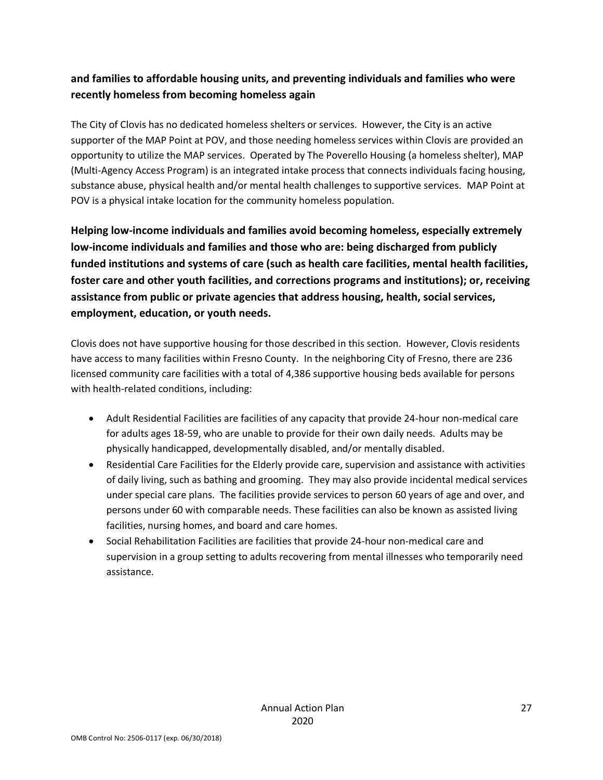## **and families to affordable housing units, and preventing individuals and families who were recently homeless from becoming homeless again**

The City of Clovis has no dedicated homeless shelters or services. However, the City is an active supporter of the MAP Point at POV, and those needing homeless services within Clovis are provided an opportunity to utilize the MAP services. Operated by The Poverello Housing (a homeless shelter), MAP (Multi-Agency Access Program) is an integrated intake process that connects individuals facing housing, substance abuse, physical health and/or mental health challenges to supportive services. MAP Point at POV is a physical intake location for the community homeless population.

**Helping low-income individuals and families avoid becoming homeless, especially extremely low-income individuals and families and those who are: being discharged from publicly funded institutions and systems of care (such as health care facilities, mental health facilities, foster care and other youth facilities, and corrections programs and institutions); or, receiving assistance from public or private agencies that address housing, health, social services, employment, education, or youth needs.**

Clovis does not have supportive housing for those described in this section. However, Clovis residents have access to many facilities within Fresno County. In the neighboring City of Fresno, there are 236 licensed community care facilities with a total of 4,386 supportive housing beds available for persons with health-related conditions, including:

- Adult Residential Facilities are facilities of any capacity that provide 24-hour non-medical care for adults ages 18-59, who are unable to provide for their own daily needs. Adults may be physically handicapped, developmentally disabled, and/or mentally disabled.
- Residential Care Facilities for the Elderly provide care, supervision and assistance with activities of daily living, such as bathing and grooming. They may also provide incidental medical services under special care plans. The facilities provide services to person 60 years of age and over, and persons under 60 with comparable needs. These facilities can also be known as assisted living facilities, nursing homes, and board and care homes.
- Social Rehabilitation Facilities are facilities that provide 24-hour non-medical care and supervision in a group setting to adults recovering from mental illnesses who temporarily need assistance.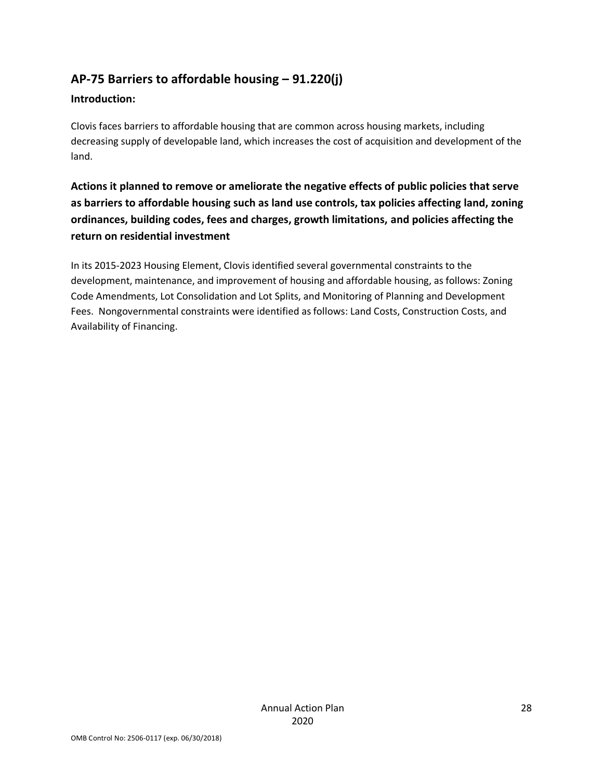# **AP-75 Barriers to affordable housing – 91.220(j)**

### **Introduction:**

Clovis faces barriers to affordable housing that are common across housing markets, including decreasing supply of developable land, which increases the cost of acquisition and development of the land.

**Actions it planned to remove or ameliorate the negative effects of public policies that serve as barriers to affordable housing such as land use controls, tax policies affecting land, zoning ordinances, building codes, fees and charges, growth limitations, and policies affecting the return on residential investment**

In its 2015-2023 Housing Element, Clovis identified several governmental constraints to the development, maintenance, and improvement of housing and affordable housing, as follows: Zoning Code Amendments, Lot Consolidation and Lot Splits, and Monitoring of Planning and Development Fees. Nongovernmental constraints were identified as follows: Land Costs, Construction Costs, and Availability of Financing.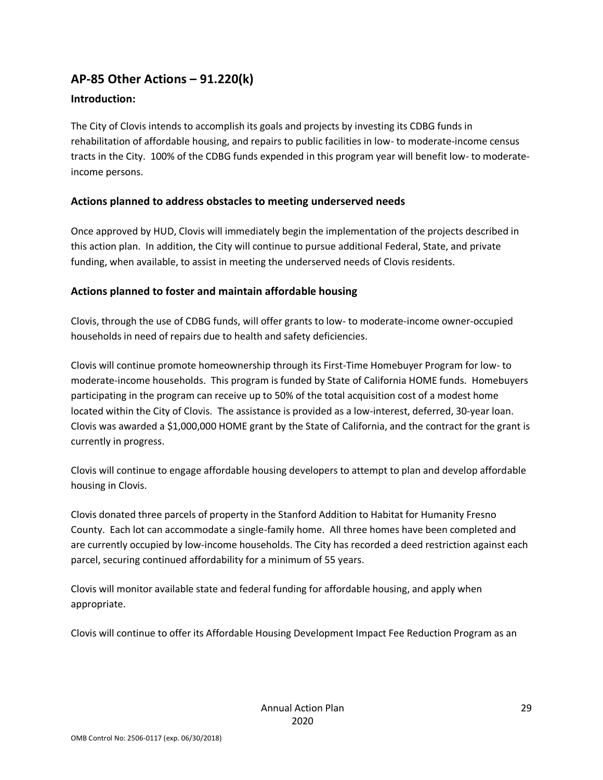## **AP-85 Other Actions – 91.220(k)**

### **Introduction:**

The City of Clovis intends to accomplish its goals and projects by investing its CDBG funds in rehabilitation of affordable housing, and repairs to public facilities in low- to moderate-income census tracts in the City. 100% of the CDBG funds expended in this program year will benefit low- to moderateincome persons.

### **Actions planned to address obstacles to meeting underserved needs**

Once approved by HUD, Clovis will immediately begin the implementation of the projects described in this action plan. In addition, the City will continue to pursue additional Federal, State, and private funding, when available, to assist in meeting the underserved needs of Clovis residents.

### **Actions planned to foster and maintain affordable housing**

Clovis, through the use of CDBG funds, will offer grants to low- to moderate-income owner-occupied households in need of repairs due to health and safety deficiencies.

Clovis will continue promote homeownership through its First-Time Homebuyer Program for low- to moderate-income households. This program is funded by State of California HOME funds. Homebuyers participating in the program can receive up to 50% of the total acquisition cost of a modest home located within the City of Clovis. The assistance is provided as a low-interest, deferred, 30-year loan. Clovis was awarded a \$1,000,000 HOME grant by the State of California, and the contract for the grant is currently in progress.

Clovis will continue to engage affordable housing developers to attempt to plan and develop affordable housing in Clovis.

Clovis donated three parcels of property in the Stanford Addition to Habitat for Humanity Fresno County. Each lot can accommodate a single-family home. All three homes have been completed and are currently occupied by low-income households. The City has recorded a deed restriction against each parcel, securing continued affordability for a minimum of 55 years.

Clovis will monitor available state and federal funding for affordable housing, and apply when appropriate.

Clovis will continue to offer its Affordable Housing Development Impact Fee Reduction Program as an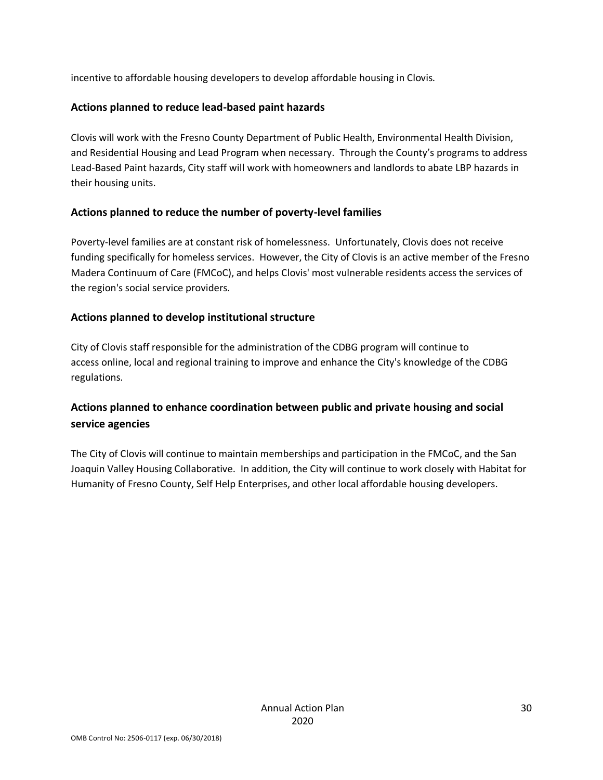incentive to affordable housing developers to develop affordable housing in Clovis.

### **Actions planned to reduce lead-based paint hazards**

Clovis will work with the Fresno County Department of Public Health, Environmental Health Division, and Residential Housing and Lead Program when necessary. Through the County's programs to address Lead-Based Paint hazards, City staff will work with homeowners and landlords to abate LBP hazards in their housing units.

### **Actions planned to reduce the number of poverty-level families**

Poverty-level families are at constant risk of homelessness. Unfortunately, Clovis does not receive funding specifically for homeless services. However, the City of Clovis is an active member of the Fresno Madera Continuum of Care (FMCoC), and helps Clovis' most vulnerable residents access the services of the region's social service providers.

### **Actions planned to develop institutional structure**

City of Clovis staff responsible for the administration of the CDBG program will continue to access online, local and regional training to improve and enhance the City's knowledge of the CDBG regulations.

### **Actions planned to enhance coordination between public and private housing and social service agencies**

The City of Clovis will continue to maintain memberships and participation in the FMCoC, and the San Joaquin Valley Housing Collaborative. In addition, the City will continue to work closely with Habitat for Humanity of Fresno County, Self Help Enterprises, and other local affordable housing developers.